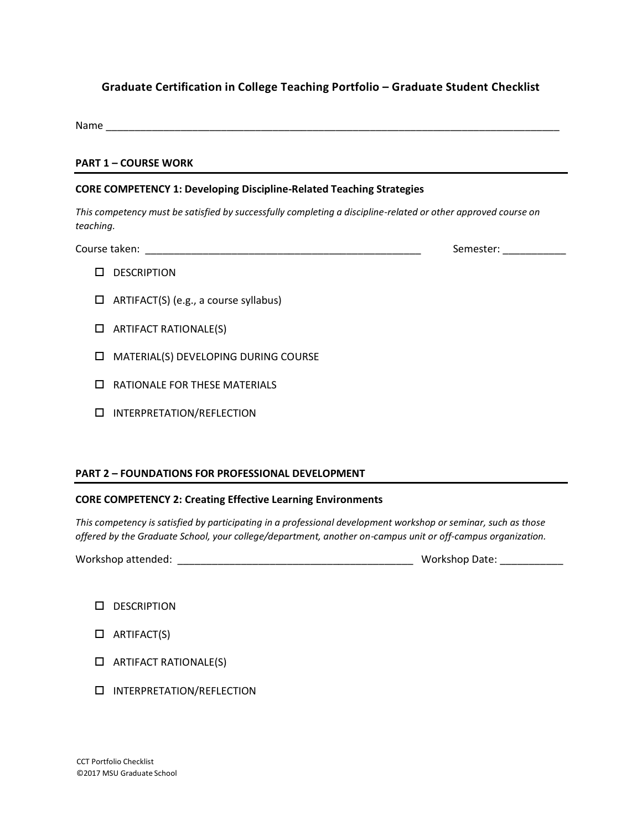# **Graduate Certification in College Teaching Portfolio – Graduate Student Checklist**

Name \_\_\_\_\_\_\_\_\_\_\_\_\_\_\_\_\_\_\_\_\_\_\_\_\_\_\_\_\_\_\_\_\_\_\_\_\_\_\_\_\_\_\_\_\_\_\_\_\_\_\_\_\_\_\_\_\_\_\_\_\_\_\_\_\_\_\_\_\_\_\_\_\_\_\_\_\_\_\_

#### **PART 1 – COURSE WORK**

#### **CORE COMPETENCY 1: Developing Discipline-Related Teaching Strategies**

*This competency must be satisfied by successfully completing a discipline-related or other approved course on teaching.*

Course taken: \_\_\_\_\_\_\_\_\_\_\_\_\_\_\_\_\_\_\_\_\_\_\_\_\_\_\_\_\_\_\_\_\_\_\_\_\_\_\_\_\_\_\_\_\_\_\_\_ Semester: \_\_\_\_\_\_\_\_\_\_\_

- **DESCRIPTION**
- $\Box$  ARTIFACT(S) (e.g., a course syllabus)
- $\Box$  ARTIFACT RATIONALE(S)
- **INDUSTAL MATERIAL(S) DEVELOPING DURING COURSE**
- RATIONALE FOR THESE MATERIALS
- **INTERPRETATION/REFLECTION**

## **PART 2 – FOUNDATIONS FOR PROFESSIONAL DEVELOPMENT**

## **CORE COMPETENCY 2: Creating Effective Learning Environments**

*This competency is satisfied by participating in a professional development workshop or seminar, such as those offered by the Graduate School, your college/department, another on-campus unit or off-campus organization.*

| Workshop attended: |  |
|--------------------|--|
|                    |  |

Workshop attended: \_\_\_\_\_\_\_\_\_\_\_\_\_\_\_\_\_\_\_\_\_\_\_\_\_\_\_\_\_\_\_\_\_\_\_\_\_\_\_\_\_ Workshop Date: \_\_\_\_\_\_\_\_\_\_\_

- D DESCRIPTION
- $\Box$  ARTIFACT(S)
- $\Box$  ARTIFACT RATIONALE(S)
- **INTERPRETATION/REFLECTION**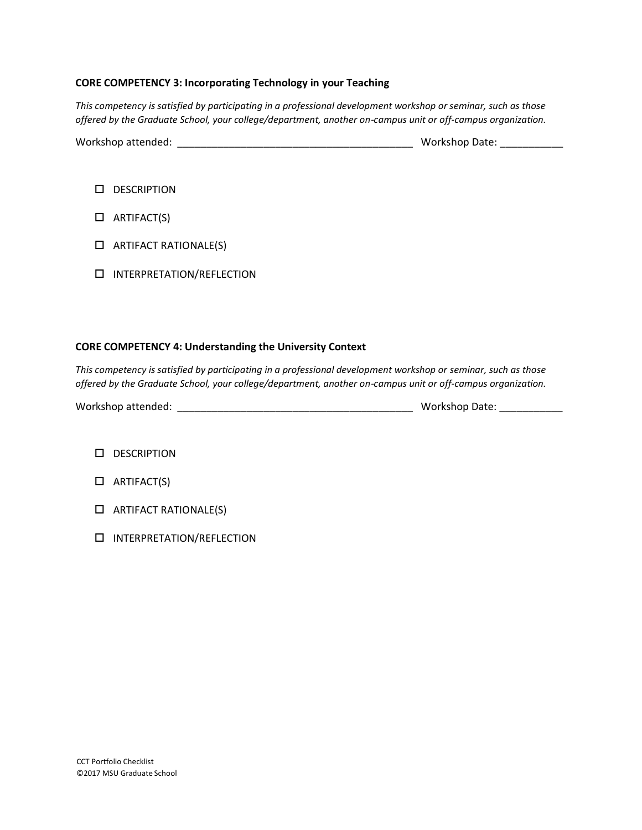### **CORE COMPETENCY 3: Incorporating Technology in your Teaching**

*This competency is satisfied by participating in a professional development workshop or seminar, such as those offered by the Graduate School, your college/department, another on-campus unit or off-campus organization.*

Workshop attended: \_\_\_\_\_\_\_\_\_\_\_\_\_\_\_\_\_\_\_\_\_\_\_\_\_\_\_\_\_\_\_\_\_\_\_\_\_\_\_\_\_ Workshop Date: \_\_\_\_\_\_\_\_\_\_\_

| <b>DESCRIPTION</b> |  |
|--------------------|--|
|--------------------|--|

- $\Box$  ARTIFACT(S)
- $\Box$  ARTIFACT RATIONALE(S)
- **INTERPRETATION/REFLECTION**

### **CORE COMPETENCY 4: Understanding the University Context**

*This competency is satisfied by participating in a professional development workshop or seminar, such as those offered by the Graduate School, your college/department, another on-campus unit or off-campus organization.*

- **DESCRIPTION**
- $\Box$  ARTIFACT(S)
- $\Box$  ARTIFACT RATIONALE(S)
- INTERPRETATION/REFLECTION